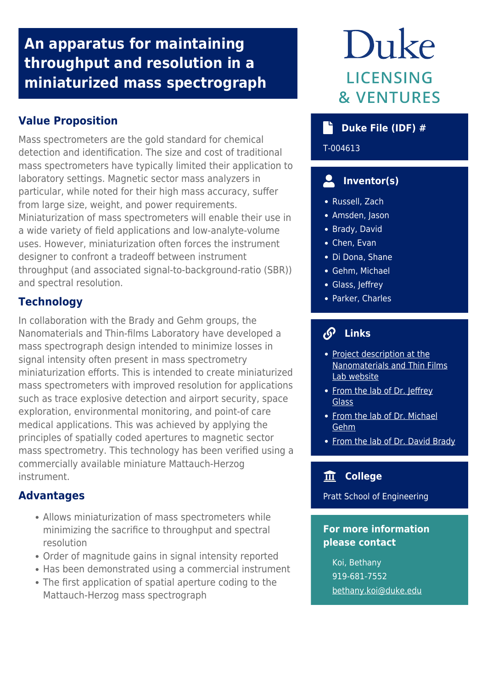# **An apparatus for maintaining throughput and resolution in a miniaturized mass spectrograph**

## **Value Proposition**

Mass spectrometers are the gold standard for chemical detection and identification. The size and cost of traditional mass spectrometers have typically limited their application to laboratory settings. Magnetic sector mass analyzers in particular, while noted for their high mass accuracy, suffer from large size, weight, and power requirements. Miniaturization of mass spectrometers will enable their use in a wide variety of field applications and low-analyte-volume uses. However, miniaturization often forces the instrument designer to confront a tradeoff between instrument throughput (and associated signal-to-background-ratio (SBR)) and spectral resolution.

## **Technology**

In collaboration with the Brady and Gehm groups, the Nanomaterials and Thin-films Laboratory have developed a mass spectrograph design intended to minimize losses in signal intensity often present in mass spectrometry miniaturization efforts. This is intended to create miniaturized mass spectrometers with improved resolution for applications such as trace explosive detection and airport security, space exploration, environmental monitoring, and point-of care medical applications. This was achieved by applying the principles of spatially coded apertures to magnetic sector mass spectrometry. This technology has been verified using a commercially available miniature Mattauch-Herzog instrument.

## **Advantages**

- Allows miniaturization of mass spectrometers while minimizing the sacrifice to throughput and spectral resolution
- Order of magnitude gains in signal intensity reported
- Has been demonstrated using a commercial instrument
- The first application of spatial aperture coding to the Mattauch-Herzog mass spectrograph

# Duke **LICENSING & VENTURES**

## **Duke File (IDF) #**

T-004613

## **Inventor(s)**

- Russell, Zach
- Amsden, Jason
- Brady, David
- Chen, Evan
- Di Dona, Shane
- Gehm, Michael
- Glass, Jeffrey
- Parker, Charles

## **Links**

- [Project description at the](https://jtglass-nano.pratt.duke.edu/coded-aperture-miniature-mass-spectrometer-camms) [Nanomaterials and Thin Films](https://jtglass-nano.pratt.duke.edu/coded-aperture-miniature-mass-spectrometer-camms) [Lab website](https://jtglass-nano.pratt.duke.edu/coded-aperture-miniature-mass-spectrometer-camms)
- [From the lab of Dr. Jeffrey](https://ece.duke.edu/faculty/jeffrey-glass) [Glass](https://ece.duke.edu/faculty/jeffrey-glass)
- [From the lab of Dr. Michael](https://ece.duke.edu/faculty/michael-gehm) [Gehm](https://ece.duke.edu/faculty/michael-gehm)
- [From the lab of Dr. David Brady](https://ece.duke.edu/faculty/david-brady)

### **College**

Pratt School of Engineering

### **For more information please contact**

Koi, Bethany 919-681-7552 [bethany.koi@duke.edu](mailto:bethany.koi@duke.edu)